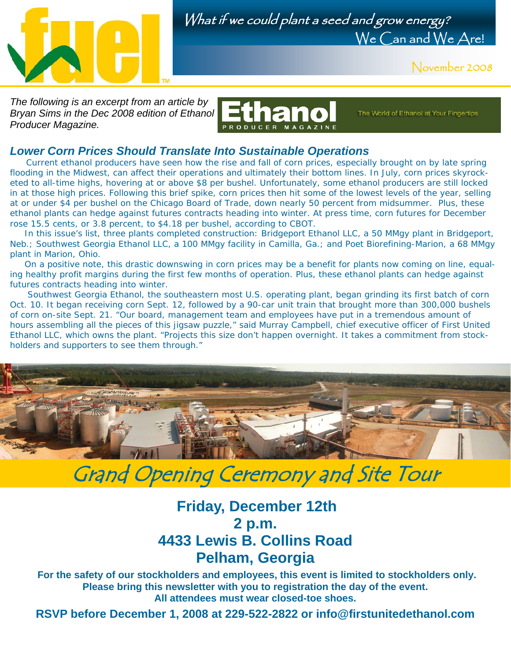



November 2008

*The following is an excerpt from an article by Bryan Sims in the Dec 2008 edition of Ethanol Producer Magazine.* 



The World of Ethanol at Your Fingertips

#### *Lower Corn Prices Should Translate Into Sustainable Operations*

Current ethanol producers have seen how the rise and fall of corn prices, especially brought on by late spring flooding in the Midwest, can affect their operations and ultimately their bottom lines. In July, corn prices skyrocketed to all-time highs, hovering at or above \$8 per bushel. Unfortunately, some ethanol producers are still locked in at those high prices. Following this brief spike, corn prices then hit some of the lowest levels of the year, selling at or under \$4 per bushel on the Chicago Board of Trade, down nearly 50 percent from midsummer. Plus, these ethanol plants can hedge against futures contracts heading into winter. At press time, corn futures for December rose 15.5 cents, or 3.8 percent, to \$4.18 per bushel, according to CBOT.

 In this issue's list, three plants completed construction: Bridgeport Ethanol LLC, a 50 MMgy plant in Bridgeport, Neb.; Southwest Georgia Ethanol LLC, a 100 MMgy facility in Camilla, Ga.; and Poet Biorefining-Marion, a 68 MMgy plant in Marion, Ohio.

 On a positive note, this drastic downswing in corn prices may be a benefit for plants now coming on line, equaling healthy profit margins during the first few months of operation. Plus, these ethanol plants can hedge against futures contracts heading into winter.

 Southwest Georgia Ethanol, the southeastern most U.S. operating plant, began grinding its first batch of corn Oct. 10. It began receiving corn Sept. 12, followed by a 90-car unit train that brought more than 300,000 bushels of corn on-site Sept. 21. "Our board, management team and employees have put in a tremendous amount of hours assembling all the pieces of this jigsaw puzzle," said Murray Campbell, chief executive officer of First United Ethanol LLC, which owns the plant. "Projects this size don't happen overnight. It takes a commitment from stockholders and supporters to see them through."



## Grand Opening Ceremony and Site Tour

## **Friday, December 12th 2 p.m. 4433 Lewis B. Collins Road Pelham, Georgia**

**For the safety of our stockholders and employees, this event is limited to stockholders only. Please bring this newsletter with you to registration the day of the event. All attendees must wear closed-toe shoes.**

**RSVP before December 1, 2008 at 229-522-2822 or info@firstunitedethanol.com**